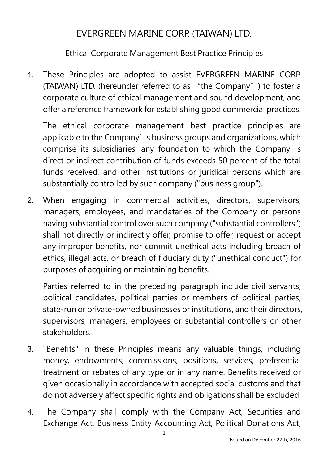## EVERGREEN MARINE CORP. (TAIWAN) LTD.

## Ethical Corporate Management Best Practice Principles

1. These Principles are adopted to assist EVERGREEN MARINE CORP. (TAIWAN) LTD. (hereunder referred to as "the Company") to foster a corporate culture of ethical management and sound development, and offer a reference framework for establishing good commercial practices.

The ethical corporate management best practice principles are applicable to the Company's business groups and organizations, which comprise its subsidiaries, any foundation to which the Company's direct or indirect contribution of funds exceeds 50 percent of the total funds received, and other institutions or juridical persons which are substantially controlled by such company ("business group").

2. When engaging in commercial activities, directors, supervisors, managers, employees, and mandataries of the Company or persons having substantial control over such company ("substantial controllers") shall not directly or indirectly offer, promise to offer, request or accept any improper benefits, nor commit unethical acts including breach of ethics, illegal acts, or breach of fiduciary duty ("unethical conduct") for purposes of acquiring or maintaining benefits.

Parties referred to in the preceding paragraph include civil servants, political candidates, political parties or members of political parties, state-run or private-owned businesses or institutions, and their directors, supervisors, managers, employees or substantial controllers or other stakeholders.

- 3. "Benefits" in these Principles means any valuable things, including money, endowments, commissions, positions, services, preferential treatment or rebates of any type or in any name. Benefits received or given occasionally in accordance with accepted social customs and that do not adversely affect specific rights and obligations shall be excluded.
- 4. The Company shall comply with the Company Act, Securities and Exchange Act, Business Entity Accounting Act, Political Donations Act,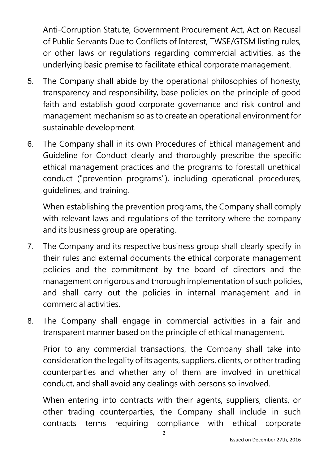Anti-Corruption Statute, Government Procurement Act, Act on Recusal of Public Servants Due to Conflicts of Interest, TWSE/GTSM listing rules, or other laws or regulations regarding commercial activities, as the underlying basic premise to facilitate ethical corporate management.

- 5. The Company shall abide by the operational philosophies of honesty, transparency and responsibility, base policies on the principle of good faith and establish good corporate governance and risk control and management mechanism so as to create an operational environment for sustainable development.
- 6. The Company shall in its own Procedures of Ethical management and Guideline for Conduct clearly and thoroughly prescribe the specific ethical management practices and the programs to forestall unethical conduct ("prevention programs"), including operational procedures, guidelines, and training.

When establishing the prevention programs, the Company shall comply with relevant laws and regulations of the territory where the company and its business group are operating.

- 7. The Company and its respective business group shall clearly specify in their rules and external documents the ethical corporate management policies and the commitment by the board of directors and the management on rigorous and thorough implementation of such policies, and shall carry out the policies in internal management and in commercial activities.
- 8. The Company shall engage in commercial activities in a fair and transparent manner based on the principle of ethical management.

Prior to any commercial transactions, the Company shall take into consideration the legality of its agents, suppliers, clients, or other trading counterparties and whether any of them are involved in unethical conduct, and shall avoid any dealings with persons so involved.

When entering into contracts with their agents, suppliers, clients, or other trading counterparties, the Company shall include in such contracts terms requiring compliance with ethical corporate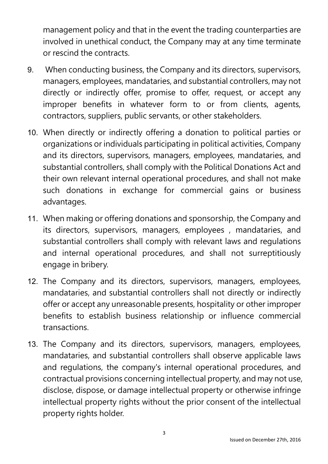management policy and that in the event the trading counterparties are involved in unethical conduct, the Company may at any time terminate or rescind the contracts.

- 9. When conducting business, the Company and its directors, supervisors, managers, employees, mandataries, and substantial controllers, may not directly or indirectly offer, promise to offer, request, or accept any improper benefits in whatever form to or from clients, agents, contractors, suppliers, public servants, or other stakeholders.
- 10. When directly or indirectly offering a donation to political parties or organizations or individuals participating in political activities, Company and its directors, supervisors, managers, employees, mandataries, and substantial controllers, shall comply with the Political Donations Act and their own relevant internal operational procedures, and shall not make such donations in exchange for commercial gains or business advantages.
- 11. When making or offering donations and sponsorship, the Company and its directors, supervisors, managers, employees , mandataries, and substantial controllers shall comply with relevant laws and regulations and internal operational procedures, and shall not surreptitiously engage in bribery.
- 12. The Company and its directors, supervisors, managers, employees, mandataries, and substantial controllers shall not directly or indirectly offer or accept any unreasonable presents, hospitality or other improper benefits to establish business relationship or influence commercial transactions.
- 13. The Company and its directors, supervisors, managers, employees, mandataries, and substantial controllers shall observe applicable laws and regulations, the company's internal operational procedures, and contractual provisions concerning intellectual property, and may not use, disclose, dispose, or damage intellectual property or otherwise infringe intellectual property rights without the prior consent of the intellectual property rights holder.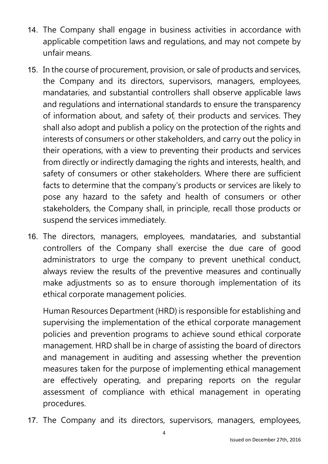- 14. The Company shall engage in business activities in accordance with applicable competition laws and regulations, and may not compete by unfair means.
- 15. In the course of procurement, provision, or sale of products and services, the Company and its directors, supervisors, managers, employees, mandataries, and substantial controllers shall observe applicable laws and regulations and international standards to ensure the transparency of information about, and safety of, their products and services. They shall also adopt and publish a policy on the protection of the rights and interests of consumers or other stakeholders, and carry out the policy in their operations, with a view to preventing their products and services from directly or indirectly damaging the rights and interests, health, and safety of consumers or other stakeholders. Where there are sufficient facts to determine that the company's products or services are likely to pose any hazard to the safety and health of consumers or other stakeholders, the Company shall, in principle, recall those products or suspend the services immediately.
- 16. The directors, managers, employees, mandataries, and substantial controllers of the Company shall exercise the due care of good administrators to urge the company to prevent unethical conduct, always review the results of the preventive measures and continually make adjustments so as to ensure thorough implementation of its ethical corporate management policies.

Human Resources Department (HRD) is responsible for establishing and supervising the implementation of the ethical corporate management policies and prevention programs to achieve sound ethical corporate management. HRD shall be in charge of assisting the board of directors and management in auditing and assessing whether the prevention measures taken for the purpose of implementing ethical management are effectively operating, and preparing reports on the regular assessment of compliance with ethical management in operating procedures.

17. The Company and its directors, supervisors, managers, employees,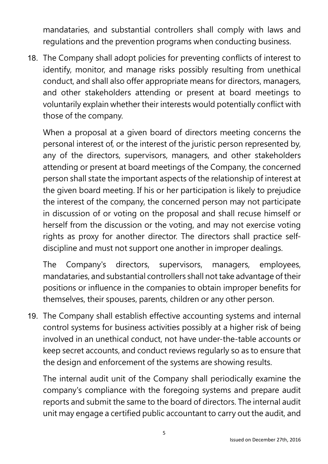mandataries, and substantial controllers shall comply with laws and regulations and the prevention programs when conducting business.

18. The Company shall adopt policies for preventing conflicts of interest to identify, monitor, and manage risks possibly resulting from unethical conduct, and shall also offer appropriate means for directors, managers, and other stakeholders attending or present at board meetings to voluntarily explain whether their interests would potentially conflict with those of the company.

When a proposal at a given board of directors meeting concerns the personal interest of, or the interest of the juristic person represented by, any of the directors, supervisors, managers, and other stakeholders attending or present at board meetings of the Company, the concerned person shall state the important aspects of the relationship of interest at the given board meeting. If his or her participation is likely to prejudice the interest of the company, the concerned person may not participate in discussion of or voting on the proposal and shall recuse himself or herself from the discussion or the voting, and may not exercise voting rights as proxy for another director. The directors shall practice selfdiscipline and must not support one another in improper dealings.

The Company's directors, supervisors, managers, employees, mandataries, and substantial controllers shall not take advantage of their positions or influence in the companies to obtain improper benefits for themselves, their spouses, parents, children or any other person.

19. The Company shall establish effective accounting systems and internal control systems for business activities possibly at a higher risk of being involved in an unethical conduct, not have under-the-table accounts or keep secret accounts, and conduct reviews regularly so as to ensure that the design and enforcement of the systems are showing results.

The internal audit unit of the Company shall periodically examine the company's compliance with the foregoing systems and prepare audit reports and submit the same to the board of directors. The internal audit unit may engage a certified public accountant to carry out the audit, and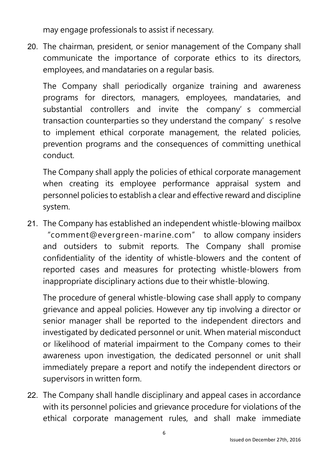may engage professionals to assist if necessary.

20. The chairman, president, or senior management of the Company shall communicate the importance of corporate ethics to its directors, employees, and mandataries on a regular basis.

The Company shall periodically organize training and awareness programs for directors, managers, employees, mandataries, and substantial controllers and invite the company's commercial transaction counterparties so they understand the company's resolve to implement ethical corporate management, the related policies, prevention programs and the consequences of committing unethical conduct.

The Company shall apply the policies of ethical corporate management when creating its employee performance appraisal system and personnel policies to establish a clear and effective reward and discipline system.

21. The Company has established an independent whistle-blowing mailbox "comment@evergreen-marine.com" to allow company insiders and outsiders to submit reports. The Company shall promise confidentiality of the identity of whistle-blowers and the content of reported cases and measures for protecting whistle-blowers from inappropriate disciplinary actions due to their whistle-blowing.

The procedure of general whistle-blowing case shall apply to company grievance and appeal policies. However any tip involving a director or senior manager shall be reported to the independent directors and investigated by dedicated personnel or unit. When material misconduct or likelihood of material impairment to the Company comes to their awareness upon investigation, the dedicated personnel or unit shall immediately prepare a report and notify the independent directors or supervisors in written form.

22. The Company shall handle disciplinary and appeal cases in accordance with its personnel policies and grievance procedure for violations of the ethical corporate management rules, and shall make immediate